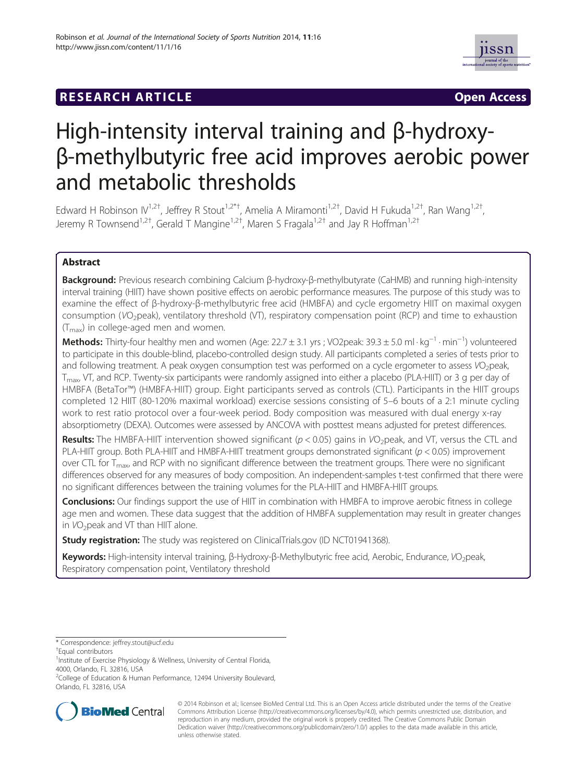# **RESEARCH ARTICLE Example 2014 12:30 THE Open Access**



# High-intensity interval training and β-hydroxyβ-methylbutyric free acid improves aerobic power and metabolic thresholds

Edward H Robinson IV<sup>1,2†</sup>, Jeffrey R Stout<sup>1,2\*†</sup>, Amelia A Miramonti<sup>1,2†</sup>, David H Fukuda<sup>1,2†</sup>, Ran Wang<sup>1,2†</sup> , Jeremy R Townsend<sup>1,2†</sup>, Gerald T Mangine<sup>1,2†</sup>, Maren S Fragala<sup>1,2†</sup> and Jay R Hoffman<sup>1,2†</sup>

# Abstract

Background: Previous research combining Calcium β-hydroxy-β-methylbutyrate (CaHMB) and running high-intensity interval training (HIIT) have shown positive effects on aerobic performance measures. The purpose of this study was to examine the effect of β-hydroxy-β-methylbutyric free acid (HMBFA) and cycle ergometry HIIT on maximal oxygen consumption (VO2peak), ventilatory threshold (VT), respiratory compensation point (RCP) and time to exhaustion  $(T_{\text{max}})$  in college-aged men and women.

Methods: Thirty-four healthy men and women (Age: 22.7 ± 3.1 yrs ; VO2peak: 39.3 ± 5.0 ml · kg<sup>−1</sup> · min<sup>−1</sup>) volunteered to participate in this double-blind, placebo-controlled design study. All participants completed a series of tests prior to and following treatment. A peak oxygen consumption test was performed on a cycle ergometer to assess VO<sub>2</sub>peak, T<sub>max</sub>, VT, and RCP. Twenty-six participants were randomly assigned into either a placebo (PLA-HIIT) or 3 g per day of HMBFA (BetaTor™) (HMBFA-HIIT) group. Eight participants served as controls (CTL). Participants in the HIIT groups completed 12 HIIT (80-120% maximal workload) exercise sessions consisting of 5–6 bouts of a 2:1 minute cycling work to rest ratio protocol over a four-week period. Body composition was measured with dual energy x-ray absorptiometry (DEXA). Outcomes were assessed by ANCOVA with posttest means adjusted for pretest differences.

**Results:** The HMBFA-HIIT intervention showed significant ( $p < 0.05$ ) gains in VO<sub>2</sub>peak, and VT, versus the CTL and PLA-HIIT group. Both PLA-HIIT and HMBFA-HIIT treatment groups demonstrated significant ( $p < 0.05$ ) improvement over CTL for  $T_{\text{max}}$ , and RCP with no significant difference between the treatment groups. There were no significant differences observed for any measures of body composition. An independent-samples t-test confirmed that there were no significant differences between the training volumes for the PLA-HIIT and HMBFA-HIIT groups.

**Conclusions:** Our findings support the use of HIIT in combination with HMBFA to improve aerobic fitness in college age men and women. These data suggest that the addition of HMBFA supplementation may result in greater changes in  $VO<sub>2</sub>peak$  and VT than HIIT alone.

**Study registration:** The study was registered on ClinicalTrials.gov (ID [NCT01941368\)](http://clinicaltrials.gov/ct2/show/NCT01941368?term=stout&rank=5).

Keywords: High-intensity interval training, β-Hydroxy-β-Methylbutyric free acid, Aerobic, Endurance, VO<sub>2</sub>peak, Respiratory compensation point, Ventilatory threshold

<sup>2</sup>College of Education & Human Performance, 12494 University Boulevard, Orlando, FL 32816, USA



© 2014 Robinson et al.; licensee BioMed Central Ltd. This is an Open Access article distributed under the terms of the Creative Commons Attribution License [\(http://creativecommons.org/licenses/by/4.0\)](http://creativecommons.org/licenses/by/4.0), which permits unrestricted use, distribution, and reproduction in any medium, provided the original work is properly credited. The Creative Commons Public Domain Dedication waiver [\(http://creativecommons.org/publicdomain/zero/1.0/](http://creativecommons.org/publicdomain/zero/1.0/)) applies to the data made available in this article, unless otherwise stated.

<sup>\*</sup> Correspondence: [jeffrey.stout@ucf.edu](mailto:jeffrey.stout@ucf.edu) †

Equal contributors

<sup>&</sup>lt;sup>1</sup>Institute of Exercise Physiology & Wellness, University of Central Florida, 4000, Orlando, FL 32816, USA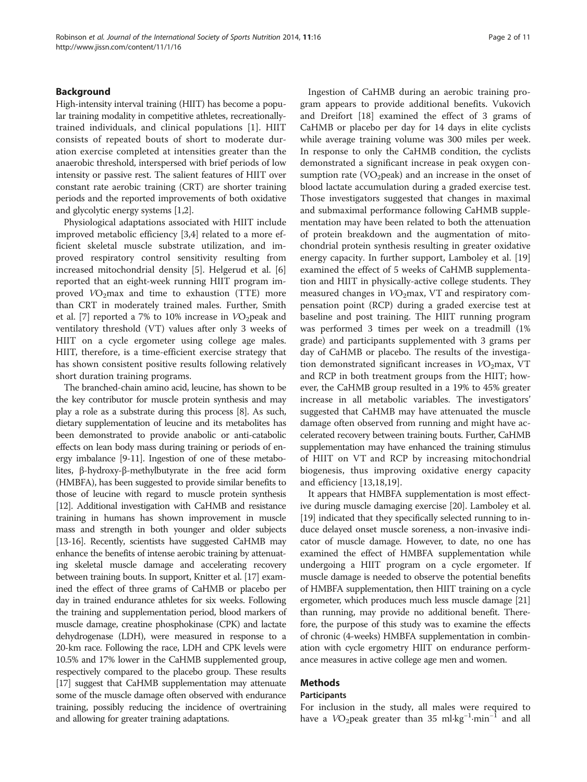# Background

High-intensity interval training (HIIT) has become a popular training modality in competitive athletes, recreationallytrained individuals, and clinical populations [\[1](#page-9-0)]. HIIT consists of repeated bouts of short to moderate duration exercise completed at intensities greater than the anaerobic threshold, interspersed with brief periods of low intensity or passive rest. The salient features of HIIT over constant rate aerobic training (CRT) are shorter training periods and the reported improvements of both oxidative and glycolytic energy systems [[1,2](#page-9-0)].

Physiological adaptations associated with HIIT include improved metabolic efficiency [[3](#page-9-0),[4](#page-9-0)] related to a more efficient skeletal muscle substrate utilization, and improved respiratory control sensitivity resulting from increased mitochondrial density [[5\]](#page-9-0). Helgerud et al. [\[6](#page-9-0)] reported that an eight-week running HIIT program improved  $VO<sub>2</sub>max$  and time to exhaustion (TTE) more than CRT in moderately trained males. Further, Smith et al. [\[7](#page-9-0)] reported a 7% to 10% increase in  $VO<sub>2</sub>peak$  and ventilatory threshold (VT) values after only 3 weeks of HIIT on a cycle ergometer using college age males. HIIT, therefore, is a time-efficient exercise strategy that has shown consistent positive results following relatively short duration training programs.

The branched-chain amino acid, leucine, has shown to be the key contributor for muscle protein synthesis and may play a role as a substrate during this process [\[8\]](#page-9-0). As such, dietary supplementation of leucine and its metabolites has been demonstrated to provide anabolic or anti-catabolic effects on lean body mass during training or periods of energy imbalance [\[9](#page-9-0)[-11\]](#page-10-0). Ingestion of one of these metabolites, β-hydroxy-β-methylbutyrate in the free acid form (HMBFA), has been suggested to provide similar benefits to those of leucine with regard to muscle protein synthesis [[12](#page-10-0)]. Additional investigation with CaHMB and resistance training in humans has shown improvement in muscle mass and strength in both younger and older subjects [[13](#page-10-0)-[16\]](#page-10-0). Recently, scientists have suggested CaHMB may enhance the benefits of intense aerobic training by attenuating skeletal muscle damage and accelerating recovery between training bouts. In support, Knitter et al. [\[17](#page-10-0)] examined the effect of three grams of CaHMB or placebo per day in trained endurance athletes for six weeks. Following the training and supplementation period, blood markers of muscle damage, creatine phosphokinase (CPK) and lactate dehydrogenase (LDH), were measured in response to a 20-km race. Following the race, LDH and CPK levels were 10.5% and 17% lower in the CaHMB supplemented group, respectively compared to the placebo group. These results [[17](#page-10-0)] suggest that CaHMB supplementation may attenuate some of the muscle damage often observed with endurance training, possibly reducing the incidence of overtraining and allowing for greater training adaptations.

Ingestion of CaHMB during an aerobic training program appears to provide additional benefits. Vukovich and Dreifort [[18](#page-10-0)] examined the effect of 3 grams of CaHMB or placebo per day for 14 days in elite cyclists while average training volume was 300 miles per week. In response to only the CaHMB condition, the cyclists demonstrated a significant increase in peak oxygen consumption rate (VO<sub>2</sub>peak) and an increase in the onset of blood lactate accumulation during a graded exercise test. Those investigators suggested that changes in maximal and submaximal performance following CaHMB supplementation may have been related to both the attenuation of protein breakdown and the augmentation of mitochondrial protein synthesis resulting in greater oxidative energy capacity. In further support, Lamboley et al. [[19](#page-10-0)] examined the effect of 5 weeks of CaHMB supplementation and HIIT in physically-active college students. They measured changes in  $VO<sub>2</sub>$ max, VT and respiratory compensation point (RCP) during a graded exercise test at baseline and post training. The HIIT running program was performed 3 times per week on a treadmill (1% grade) and participants supplemented with 3 grams per day of CaHMB or placebo. The results of the investigation demonstrated significant increases in  $VO<sub>2</sub>$ max, VT and RCP in both treatment groups from the HIIT; however, the CaHMB group resulted in a 19% to 45% greater increase in all metabolic variables. The investigators' suggested that CaHMB may have attenuated the muscle damage often observed from running and might have accelerated recovery between training bouts. Further, CaHMB supplementation may have enhanced the training stimulus of HIIT on VT and RCP by increasing mitochondrial biogenesis, thus improving oxidative energy capacity and efficiency [\[13](#page-10-0),[18,19\]](#page-10-0).

It appears that HMBFA supplementation is most effective during muscle damaging exercise [\[20\]](#page-10-0). Lamboley et al. [[19](#page-10-0)] indicated that they specifically selected running to induce delayed onset muscle soreness, a non-invasive indicator of muscle damage. However, to date, no one has examined the effect of HMBFA supplementation while undergoing a HIIT program on a cycle ergometer. If muscle damage is needed to observe the potential benefits of HMBFA supplementation, then HIIT training on a cycle ergometer, which produces much less muscle damage [\[21](#page-10-0)] than running, may provide no additional benefit. Therefore, the purpose of this study was to examine the effects of chronic (4-weeks) HMBFA supplementation in combination with cycle ergometry HIIT on endurance performance measures in active college age men and women.

# Methods

# **Participants**

For inclusion in the study, all males were required to have a  $VO_2$ peak greater than 35 ml⋅kg<sup>-1</sup>⋅min<sup>-1</sup> and all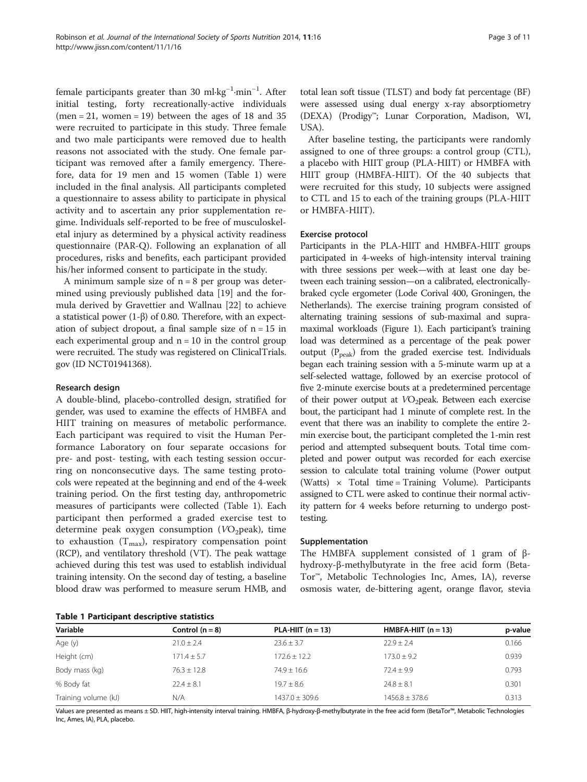female participants greater than 30 ml∙kg−<sup>1</sup> ∙min−<sup>1</sup> . After initial testing, forty recreationally-active individuals  $(men = 21, women = 19)$  between the ages of 18 and 35 were recruited to participate in this study. Three female and two male participants were removed due to health reasons not associated with the study. One female participant was removed after a family emergency. Therefore, data for 19 men and 15 women (Table 1) were included in the final analysis. All participants completed a questionnaire to assess ability to participate in physical activity and to ascertain any prior supplementation regime. Individuals self-reported to be free of musculoskeletal injury as determined by a physical activity readiness questionnaire (PAR-Q). Following an explanation of all procedures, risks and benefits, each participant provided his/her informed consent to participate in the study.

A minimum sample size of  $n = 8$  per group was determined using previously published data [[19\]](#page-10-0) and the formula derived by Gravettier and Wallnau [\[22\]](#page-10-0) to achieve a statistical power (1-β) of 0.80. Therefore, with an expectation of subject dropout, a final sample size of  $n = 15$  in each experimental group and  $n = 10$  in the control group were recruited. The study was registered on ClinicalTrials. gov (ID NCT01941368).

### Research design

A double-blind, placebo-controlled design, stratified for gender, was used to examine the effects of HMBFA and HIIT training on measures of metabolic performance. Each participant was required to visit the Human Performance Laboratory on four separate occasions for pre- and post- testing, with each testing session occurring on nonconsecutive days. The same testing protocols were repeated at the beginning and end of the 4-week training period. On the first testing day, anthropometric measures of participants were collected (Table 1). Each participant then performed a graded exercise test to determine peak oxygen consumption  $(VO<sub>2</sub>peak)$ , time to exhaustion  $(T_{max})$ , respiratory compensation point (RCP), and ventilatory threshold (VT). The peak wattage achieved during this test was used to establish individual training intensity. On the second day of testing, a baseline blood draw was performed to measure serum HMB, and

|  | <b>Table 1 Participant descriptive statistics</b> |  |  |
|--|---------------------------------------------------|--|--|
|--|---------------------------------------------------|--|--|

total lean soft tissue (TLST) and body fat percentage (BF) were assessed using dual energy x-ray absorptiometry (DEXA) (Prodigy™; Lunar Corporation, Madison, WI, USA).

After baseline testing, the participants were randomly assigned to one of three groups: a control group (CTL), a placebo with HIIT group (PLA-HIIT) or HMBFA with HIIT group (HMBFA-HIIT). Of the 40 subjects that were recruited for this study, 10 subjects were assigned to CTL and 15 to each of the training groups (PLA-HIIT or HMBFA-HIIT).

#### Exercise protocol

Participants in the PLA-HIIT and HMBFA-HIIT groups participated in 4-weeks of high-intensity interval training with three sessions per week—with at least one day between each training session—on a calibrated, electronicallybraked cycle ergometer (Lode Corival 400, Groningen, the Netherlands). The exercise training program consisted of alternating training sessions of sub-maximal and supramaximal workloads (Figure [1](#page-3-0)). Each participant's training load was determined as a percentage of the peak power output  $(P_{peak})$  from the graded exercise test. Individuals began each training session with a 5-minute warm up at a self-selected wattage, followed by an exercise protocol of five 2-minute exercise bouts at a predetermined percentage of their power output at VO<sub>2</sub>peak. Between each exercise bout, the participant had 1 minute of complete rest. In the event that there was an inability to complete the entire 2 min exercise bout, the participant completed the 1-min rest period and attempted subsequent bouts. Total time completed and power output was recorded for each exercise session to calculate total training volume (Power output (Watts)  $\times$  Total time = Training Volume). Participants assigned to CTL were asked to continue their normal activity pattern for 4 weeks before returning to undergo posttesting.

#### Supplementation

The HMBFA supplement consisted of 1 gram of  $β$ hydroxy-β-methylbutyrate in the free acid form (Beta-Tor™, Metabolic Technologies Inc, Ames, IA), reverse osmosis water, de-bittering agent, orange flavor, stevia

| Variable             | Control $(n = 8)$ | PLA-HIIT $(n = 13)$ | HMBFA-HIIT $(n = 13)$ | p-value |
|----------------------|-------------------|---------------------|-----------------------|---------|
| Age (y)              | $21.0 \pm 2.4$    | $23.6 \pm 3.7$      | $22.9 \pm 2.4$        | 0.166   |
| Height (cm)          | $171.4 \pm 5.7$   | $172.6 + 12.2$      | $173.0 + 9.2$         | 0.939   |
| Body mass (kg)       | $76.3 \pm 12.8$   | $74.9 \pm 16.6$     | $72.4 \pm 9.9$        | 0.793   |
| % Body fat           | $22.4 \pm 8.1$    | $19.7 \pm 8.6$      | $24.8 \pm 8.1$        | 0.301   |
| Training volume (kJ) | N/A               | $1437.0 \pm 309.6$  | $1456.8 \pm 378.6$    | 0.313   |

Values are presented as means ± SD. HIIT, high-intensity interval training. HMBFA, β-hydroxy-β-methylbutyrate in the free acid form (BetaTor™, Metabolic Technologies Inc, Ames, IA), PLA, placebo.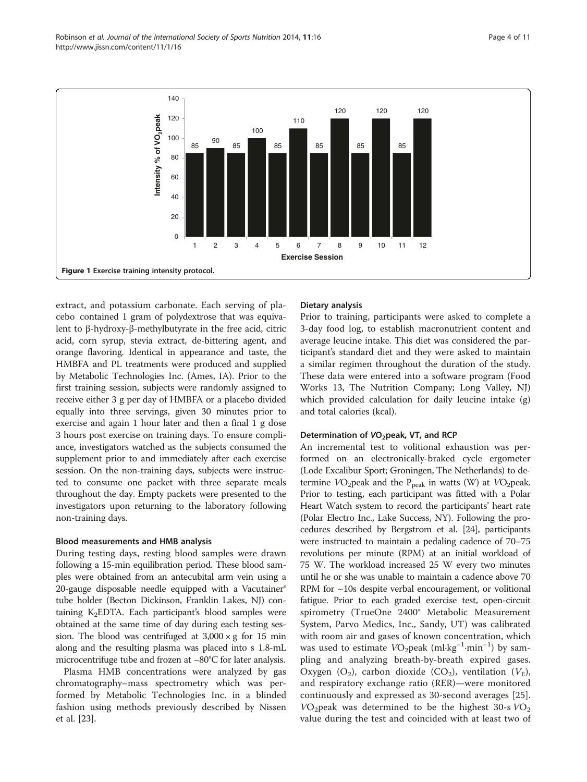<span id="page-3-0"></span>Robinson et al. Journal of the International Society of Sports Nutrition 2014, 11:16 Page 4 of 11 http://www.jissn.com/content/11/1/16



extract, and potassium carbonate. Each serving of placebo contained 1 gram of polydextrose that was equivalent to β-hydroxy-β-methylbutyrate in the free acid, citric acid, corn syrup, stevia extract, de-bittering agent, and orange flavoring. Identical in appearance and taste, the HMBFA and PL treatments were produced and supplied by Metabolic Technologies Inc. (Ames, IA). Prior to the first training session, subjects were randomly assigned to receive either 3 g per day of HMBFA or a placebo divided equally into three servings, given 30 minutes prior to exercise and again 1 hour later and then a final 1 g dose 3 hours post exercise on training days. To ensure compliance, investigators watched as the subjects consumed the supplement prior to and immediately after each exercise session. On the non-training days, subjects were instructed to consume one packet with three separate meals throughout the day. Empty packets were presented to the investigators upon returning to the laboratory following non-training days.

# Blood measurements and HMB analysis

During testing days, resting blood samples were drawn following a 15-min equilibration period. These blood samples were obtained from an antecubital arm vein using a 20-gauge disposable needle equipped with a Vacutainer® tube holder (Becton Dickinson, Franklin Lakes, NJ) containing  $K_2$ EDTA. Each participant's blood samples were obtained at the same time of day during each testing session. The blood was centrifuged at  $3,000 \times g$  for 15 min along and the resulting plasma was placed into s 1.8-mL microcentrifuge tube and frozen at −80°C for later analysis.

Plasma HMB concentrations were analyzed by gas chromatography–mass spectrometry which was performed by Metabolic Technologies Inc. in a blinded fashion using methods previously described by Nissen et al. [\[23](#page-10-0)].

# Dietary analysis

Prior to training, participants were asked to complete a 3-day food log, to establish macronutrient content and average leucine intake. This diet was considered the participant's standard diet and they were asked to maintain a similar regimen throughout the duration of the study. These data were entered into a software program (Food Works 13, The Nutrition Company; Long Valley, NJ) which provided calculation for daily leucine intake (g) and total calories (kcal).

# Determination of VO<sub>2</sub>peak, VT, and RCP

An incremental test to volitional exhaustion was performed on an electronically-braked cycle ergometer (Lode Excalibur Sport; Groningen, The Netherlands) to determine  $VO_2$ peak and the  $P_{peak}$  in watts (W) at  $VO_2$ peak. Prior to testing, each participant was fitted with a Polar Heart Watch system to record the participants' heart rate (Polar Electro Inc., Lake Success, NY). Following the procedures described by Bergstrom et al. [\[24](#page-10-0)], participants were instructed to maintain a pedaling cadence of 70–75 revolutions per minute (RPM) at an initial workload of 75 W. The workload increased 25 W every two minutes until he or she was unable to maintain a cadence above 70 RPM for  $\sim$ 10s despite verbal encouragement, or volitional fatigue. Prior to each graded exercise test, open-circuit spirometry (TrueOne 2400® Metabolic Measurement System, Parvo Medics, Inc., Sandy, UT) was calibrated with room air and gases of known concentration, which was used to estimate VO<sub>2</sub>peak (ml⋅kg<sup>-1</sup>⋅min<sup>-1</sup>) by sampling and analyzing breath-by-breath expired gases. Oxygen  $(O_2)$ , carbon dioxide  $(CO_2)$ , ventilation  $(V_E)$ , and respiratory exchange ratio (RER)—were monitored continuously and expressed as 30-second averages [\[25](#page-10-0)].  $VO<sub>2</sub>peak$  was determined to be the highest 30-s  $VO<sub>2</sub>$ value during the test and coincided with at least two of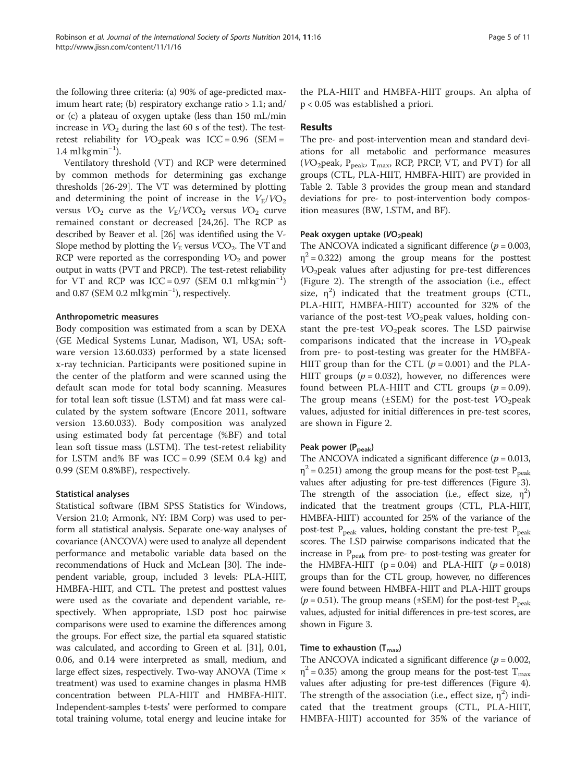the following three criteria: (a) 90% of age-predicted maximum heart rate; (b) respiratory exchange ratio > 1.1; and/ or (c) a plateau of oxygen uptake (less than 150 mL/min increase in  $VO<sub>2</sub>$  during the last 60 s of the test). The testretest reliability for  $VO<sub>2</sub>peak$  was  $ICC = 0.96$  (SEM =  $1.4 \text{ ml} \text{ kg} \text{min}^{-1}$ ).

Ventilatory threshold (VT) and RCP were determined by common methods for determining gas exchange thresholds [\[26-29](#page-10-0)]. The VT was determined by plotting and determining the point of increase in the  $V_{\rm E}/V{\rm O}_2$ versus  $VO_2$  curve as the  $V_E/VCO_2$  versus  $VO_2$  curve remained constant or decreased [\[24](#page-10-0),[26\]](#page-10-0). The RCP as described by Beaver et al. [\[26\]](#page-10-0) was identified using the V-Slope method by plotting the  $V_{\rm E}$  versus  $VCO_2$ . The VT and RCP were reported as the corresponding  $VO<sub>2</sub>$  and power output in watts (PVT and PRCP). The test-retest reliability for VT and RCP was  $ICC = 0.97$  (SEM 0.1 ml kgmin<sup>-1</sup>) and 0.87 (SEM 0.2 ml<sup>·</sup>kg<sup>min<sup>-1</sup>), respectively.</sup>

# Anthropometric measures

Body composition was estimated from a scan by DEXA (GE Medical Systems Lunar, Madison, WI, USA; software version 13.60.033) performed by a state licensed x-ray technician. Participants were positioned supine in the center of the platform and were scanned using the default scan mode for total body scanning. Measures for total lean soft tissue (LSTM) and fat mass were calculated by the system software (Encore 2011, software version 13.60.033). Body composition was analyzed using estimated body fat percentage (%BF) and total lean soft tissue mass (LSTM). The test-retest reliability for LSTM and% BF was  $ICC = 0.99$  (SEM 0.4 kg) and 0.99 (SEM 0.8%BF), respectively.

# Statistical analyses

Statistical software (IBM SPSS Statistics for Windows, Version 21.0; Armonk, NY: IBM Corp) was used to perform all statistical analysis. Separate one-way analyses of covariance (ANCOVA) were used to analyze all dependent performance and metabolic variable data based on the recommendations of Huck and McLean [[30](#page-10-0)]. The independent variable, group, included 3 levels: PLA-HIIT, HMBFA-HIIT, and CTL. The pretest and posttest values were used as the covariate and dependent variable, respectively. When appropriate, LSD post hoc pairwise comparisons were used to examine the differences among the groups. For effect size, the partial eta squared statistic was calculated, and according to Green et al. [\[31\]](#page-10-0), 0.01, 0.06, and 0.14 were interpreted as small, medium, and large effect sizes, respectively. Two-way ANOVA (Time × treatment) was used to examine changes in plasma HMB concentration between PLA-HIIT and HMBFA-HIIT. Independent-samples t-tests' were performed to compare total training volume, total energy and leucine intake for the PLA-HIIT and HMBFA-HIIT groups. An alpha of p < 0.05 was established a priori.

# Results

The pre- and post-intervention mean and standard deviations for all metabolic and performance measures ( $VO<sub>2</sub>peak, P<sub>peak</sub>, T<sub>max</sub>$ , RCP, PRCP, VT, and PVT) for all groups (CTL, PLA-HIIT, HMBFA-HIIT) are provided in Table [2](#page-5-0). Table [3](#page-5-0) provides the group mean and standard deviations for pre- to post-intervention body composition measures (BW, LSTM, and BF).

# Peak oxygen uptake (VO<sub>2</sub>peak)

The ANCOVA indicated a significant difference ( $p = 0.003$ ,  $\eta^2$  = 0.322) among the group means for the posttest VO2peak values after adjusting for pre-test differences (Figure [2\)](#page-6-0). The strength of the association (i.e., effect size,  $\eta^2$ ) indicated that the treatment groups (CTL, PLA-HIIT, HMBFA-HIIT) accounted for 32% of the variance of the post-test  $VO<sub>2</sub>peak$  values, holding constant the pre-test  $VO<sub>2</sub>peak scores.$  The LSD pairwise comparisons indicated that the increase in  $VO<sub>2</sub>peak$ from pre- to post-testing was greater for the HMBFA-HIIT group than for the CTL  $(p = 0.001)$  and the PLA-HIIT groups ( $p = 0.032$ ), however, no differences were found between PLA-HIIT and CTL groups  $(p = 0.09)$ . The group means ( $\pm$ SEM) for the post-test  $VO<sub>2</sub>peak$ values, adjusted for initial differences in pre-test scores, are shown in Figure [2.](#page-6-0)

# Peak power (P<sub>peak</sub>)

The ANCOVA indicated a significant difference ( $p = 0.013$ ,  $\eta^2$  = 0.251) among the group means for the post-test P<sub>peak</sub> values after adjusting for pre-test differences (Figure [3](#page-6-0)). The strength of the association (i.e., effect size,  $\eta^2$ ) indicated that the treatment groups (CTL, PLA-HIIT, HMBFA-HIIT) accounted for 25% of the variance of the post-test  $P_{peak}$  values, holding constant the pre-test  $P_{peak}$ scores. The LSD pairwise comparisons indicated that the increase in  $P_{peak}$  from pre- to post-testing was greater for the HMBFA-HIIT ( $p = 0.04$ ) and PLA-HIIT ( $p = 0.018$ ) groups than for the CTL group, however, no differences were found between HMBFA-HIIT and PLA-HIIT groups  $(p = 0.51)$ . The group means (±SEM) for the post-test P<sub>peak</sub> values, adjusted for initial differences in pre-test scores, are shown in Figure [3.](#page-6-0)

# Time to exhaustion  $(T_{max})$

The ANCOVA indicated a significant difference ( $p = 0.002$ ,  $\eta^2$  = 0.35) among the group means for the post-test T<sub>max</sub> values after adjusting for pre-test differences (Figure [4](#page-7-0)). The strength of the association (i.e., effect size,  $\eta^2$ ) indicated that the treatment groups (CTL, PLA-HIIT, HMBFA-HIIT) accounted for 35% of the variance of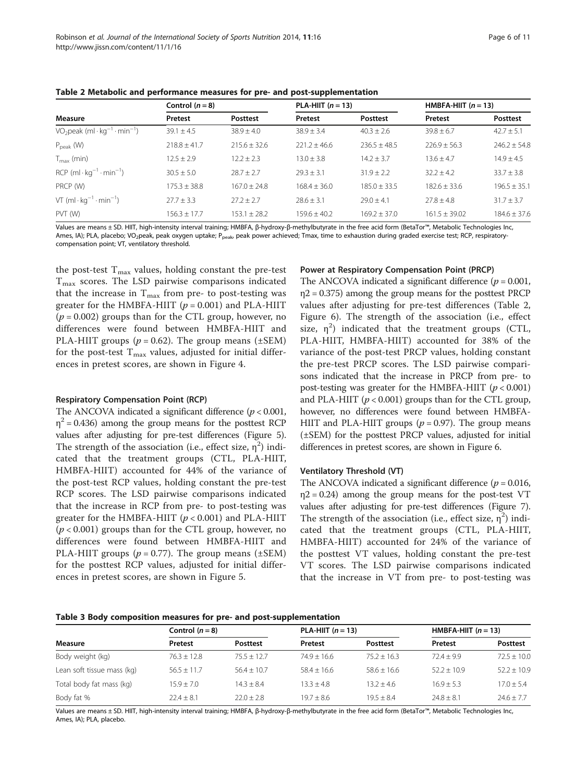|                                        | Control $(n = 8)$ |                  | PLA-HIIT $(n = 13)$ |                  | HMBFA-HIIT $(n = 13)$ |                  |
|----------------------------------------|-------------------|------------------|---------------------|------------------|-----------------------|------------------|
| Measure                                | Pretest           | Posttest         | Pretest             | <b>Posttest</b>  | Pretest               | Posttest         |
| $VO2peak (ml·kg-1·min-1)$              | $39.1 \pm 4.5$    | $38.9 + 4.0$     | $38.9 + 3.4$        | $40.3 + 2.6$     | $39.8 + 6.7$          | $42.7 \pm 5.1$   |
| $P_{\text{peak}}$ (W)                  | $718.8 + 41.7$    | $215.6 + 32.6$   | $221.2 + 46.6$      | $236.5 + 48.5$   | $226.9 + 56.3$        | $746.7 + 54.8$   |
| $T_{\text{max}}$ (min)                 | $12.5 \pm 2.9$    | $12.2 + 2.3$     | $13.0 \pm 3.8$      | $14.2 \pm 3.7$   | $13.6 + 4.7$          | $14.9 + 4.5$     |
| $RCP$ (ml $kg^{-1} \cdot min^{-1}$ )   | $30.5 + 5.0$      | $78.7 + 7.7$     | $79.3 + 3.1$        | $31.9 + 2.2$     | $32.2 + 4.2$          | $33.7 + 3.8$     |
| PRCP (W)                               | $175.3 + 38.8$    | $167.0 + 24.8$   | $168.4 + 36.0$      | $185.0 + 33.5$   | $182.6 + 33.6$        | $196.5 + 35.1$   |
| VT $(ml \cdot kq^{-1} \cdot min^{-1})$ | $27.7 \pm 3.3$    | $27.2 + 2.7$     | $78.6 + 3.1$        | $79.0 + 4.1$     | $77.8 + 4.8$          | $31.7 + 3.7$     |
| PVT (W)                                | 156.3 ± 17.7      | $153.1 \pm 28.2$ | $159.6 \pm 40.2$    | $169.2 \pm 37.0$ | $161.5 \pm 39.02$     | $184.6 \pm 37.6$ |

<span id="page-5-0"></span>Table 2 Metabolic and performance measures for pre- and post-supplementation

Values are means ± SD. HIIT, high-intensity interval training; HMBFA, β-hydroxy-β-methylbutyrate in the free acid form (BetaTor™, Metabolic Technologies Inc, Ames, IA); PLA, placebo; VO<sub>2</sub>peak, peak oxygen uptake; P<sub>peak</sub>, peak power achieved; Tmax, time to exhaustion during graded exercise test; RCP, respiratorycompensation point; VT, ventilatory threshold.

the post-test  $T_{\text{max}}$  values, holding constant the pre-test  $T<sub>max</sub>$  scores. The LSD pairwise comparisons indicated that the increase in  $T_{\text{max}}$  from pre- to post-testing was greater for the HMBFA-HIIT  $(p = 0.001)$  and PLA-HIIT  $(p = 0.002)$  groups than for the CTL group, however, no differences were found between HMBFA-HIIT and PLA-HIIT groups ( $p = 0.62$ ). The group means ( $\pm$ SEM) for the post-test  $T_{\text{max}}$  values, adjusted for initial differences in pretest scores, are shown in Figure [4](#page-7-0).

#### Respiratory Compensation Point (RCP)

The ANCOVA indicated a significant difference ( $p < 0.001$ ,  $\eta^2$  = 0.436) among the group means for the posttest RCP values after adjusting for pre-test differences (Figure [5](#page-7-0)). The strength of the association (i.e., effect size,  $\eta^2$ ) indicated that the treatment groups (CTL, PLA-HIIT, HMBFA-HIIT) accounted for 44% of the variance of the post-test RCP values, holding constant the pre-test RCP scores. The LSD pairwise comparisons indicated that the increase in RCP from pre- to post-testing was greater for the HMBFA-HIIT  $(p < 0.001)$  and PLA-HIIT  $(p < 0.001)$  groups than for the CTL group, however, no differences were found between HMBFA-HIIT and PLA-HIIT groups ( $p = 0.77$ ). The group means ( $\pm$ SEM) for the posttest RCP values, adjusted for initial differences in pretest scores, are shown in Figure [5](#page-7-0).

## Power at Respiratory Compensation Point (PRCP)

The ANCOVA indicated a significant difference ( $p = 0.001$ , η2 = 0.375) among the group means for the posttest PRCP values after adjusting for pre-test differences (Table 2, Figure [6\)](#page-8-0). The strength of the association (i.e., effect size,  $\eta^2$ ) indicated that the treatment groups (CTL, PLA-HIIT, HMBFA-HIIT) accounted for 38% of the variance of the post-test PRCP values, holding constant the pre-test PRCP scores. The LSD pairwise comparisons indicated that the increase in PRCP from pre- to post-testing was greater for the HMBFA-HIIT  $(p < 0.001)$ and PLA-HIIT ( $p < 0.001$ ) groups than for the CTL group, however, no differences were found between HMBFA-HIIT and PLA-HIIT groups ( $p = 0.97$ ). The group means (±SEM) for the posttest PRCP values, adjusted for initial differences in pretest scores, are shown in Figure [6.](#page-8-0)

#### Ventilatory Threshold (VT)

The ANCOVA indicated a significant difference ( $p = 0.016$ ,  $\eta$ 2 = 0.24) among the group means for the post-test VT values after adjusting for pre-test differences (Figure [7](#page-8-0)). The strength of the association (i.e., effect size,  $\eta^2$ ) indicated that the treatment groups (CTL, PLA-HIIT, HMBFA-HIIT) accounted for 24% of the variance of the posttest VT values, holding constant the pre-test VT scores. The LSD pairwise comparisons indicated that the increase in VT from pre- to post-testing was

Table 3 Body composition measures for pre- and post-supplementation

|                            | Control $(n=8)$ |                | PLA-HIIT $(n = 13)$ |                 | HMBFA-HIIT $(n = 13)$ |                 |
|----------------------------|-----------------|----------------|---------------------|-----------------|-----------------------|-----------------|
| Measure                    | Pretest         | Posttest       | Pretest             | <b>Posttest</b> | Pretest               | <b>Posttest</b> |
| Body weight (kg)           | $76.3 \pm 12.8$ | $75.5 + 12.7$  | $74.9 + 16.6$       | $75.2 + 16.3$   | $72.4 + 9.9$          | $72.5 \pm 10.0$ |
| Lean soft tissue mass (kg) | $56.5 + 11.7$   | $56.4 + 10.7$  | $58.4 + 16.6$       | $58.6 + 16.6$   | $52.2 + 10.9$         | $52.2 + 10.9$   |
| Total body fat mass (kg)   | $15.9 + 7.0$    | $14.3 + 8.4$   | $13.3 + 4.8$        | $13.2 + 4.6$    | $16.9 + 5.3$          | $17.0 + 5.4$    |
| Body fat %                 | $22.4 \pm 8.1$  | $22.0 \pm 2.8$ | $19.7 + 8.6$        | $19.5 + 8.4$    | $24.8 \pm 8.1$        | $24.6 \pm 7.7$  |

Values are means ± SD. HIIT, high-intensity interval training; HMBFA, β-hydroxy-β-methylbutyrate in the free acid form (BetaTor™, Metabolic Technologies Inc, Ames, IA); PLA, placebo.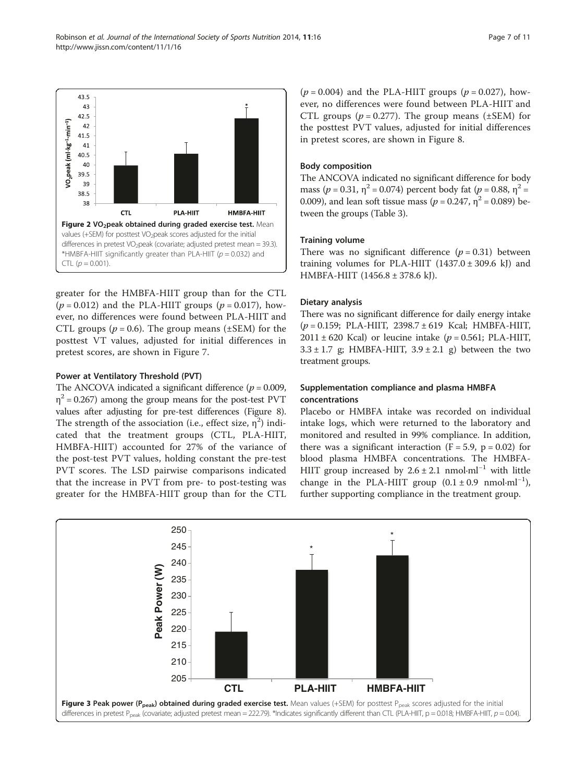<span id="page-6-0"></span>

greater for the HMBFA-HIIT group than for the CTL  $(p = 0.012)$  and the PLA-HIIT groups  $(p = 0.017)$ , however, no differences were found between PLA-HIIT and CTL groups ( $p = 0.6$ ). The group means ( $\pm$ SEM) for the posttest VT values, adjusted for initial differences in pretest scores, are shown in Figure [7](#page-8-0).

# Power at Ventilatory Threshold (PVT)

The ANCOVA indicated a significant difference ( $p = 0.009$ ,  $\eta^2$  = 0.267) among the group means for the post-test PVT values after adjusting for pre-test differences (Figure [8](#page-8-0)). The strength of the association (i.e., effect size,  $\eta^2$ ) indicated that the treatment groups (CTL, PLA-HIIT, HMBFA-HIIT) accounted for 27% of the variance of the post-test PVT values, holding constant the pre-test PVT scores. The LSD pairwise comparisons indicated that the increase in PVT from pre- to post-testing was greater for the HMBFA-HIIT group than for the CTL  $(p = 0.004)$  and the PLA-HIIT groups  $(p = 0.027)$ , however, no differences were found between PLA-HIIT and CTL groups ( $p = 0.277$ ). The group means ( $\pm$ SEM) for the posttest PVT values, adjusted for initial differences in pretest scores, are shown in Figure [8](#page-8-0).

# Body composition

The ANCOVA indicated no significant difference for body mass ( $p = 0.31$ ,  $\eta^2 = 0.074$ ) percent body fat ( $p = 0.88$ ,  $\eta^2 =$ 0.009), and lean soft tissue mass ( $p = 0.247$ ,  $\eta^2 = 0.089$ ) between the groups (Table [3\)](#page-5-0).

# Training volume

There was no significant difference  $(p = 0.31)$  between training volumes for PLA-HIIT  $(1437.0 \pm 309.6 \text{ kJ})$  and HMBFA-HIIT (1456.8 ± 378.6 kJ).

# Dietary analysis

There was no significant difference for daily energy intake  $(p = 0.159; \text{ PLA-HIIT}, 2398.7 \pm 619 \text{ Kcal}; \text{HMBFA-HIIT},$  $2011 \pm 620$  Kcal) or leucine intake ( $p = 0.561$ ; PLA-HIIT,  $3.3 \pm 1.7$  g; HMBFA-HIIT,  $3.9 \pm 2.1$  g) between the two treatment groups.

# Supplementation compliance and plasma HMBFA concentrations

Placebo or HMBFA intake was recorded on individual intake logs, which were returned to the laboratory and monitored and resulted in 99% compliance. In addition, there was a significant interaction  $(F = 5.9, p = 0.02)$  for blood plasma HMBFA concentrations. The HMBFA-HIIT group increased by  $2.6 \pm 2.1$  nmol⋅ml<sup>-1</sup> with little change in the PLA-HIIT group  $(0.1 \pm 0.9 \text{ nmol} \cdot \text{ml}^{-1})$ , further supporting compliance in the treatment group.

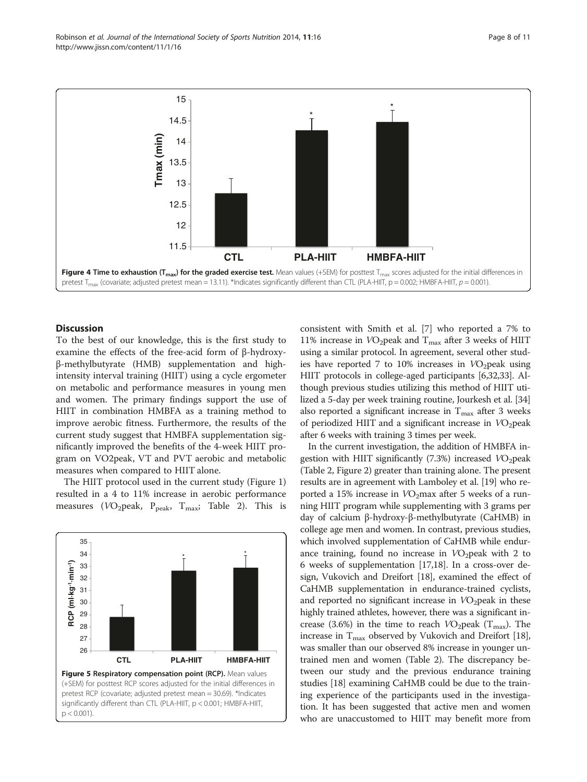<span id="page-7-0"></span>



# **Discussion**

To the best of our knowledge, this is the first study to examine the effects of the free-acid form of β-hydroxyβ-methylbutyrate (HMB) supplementation and highintensity interval training (HIIT) using a cycle ergometer on metabolic and performance measures in young men and women. The primary findings support the use of HIIT in combination HMBFA as a training method to improve aerobic fitness. Furthermore, the results of the current study suggest that HMBFA supplementation significantly improved the benefits of the 4-week HIIT program on VO2peak, VT and PVT aerobic and metabolic measures when compared to HIIT alone.

The HIIT protocol used in the current study (Figure [1](#page-3-0)) resulted in a 4 to 11% increase in aerobic performance measures (VO<sub>2</sub>peak, P<sub>peak</sub>, T<sub>max</sub>; Table [2\)](#page-5-0). This is



consistent with Smith et al. [[7\]](#page-9-0) who reported a 7% to 11% increase in  $VO<sub>2</sub>peak$  and  $T<sub>max</sub>$  after 3 weeks of HIIT using a similar protocol. In agreement, several other studies have reported 7 to 10% increases in  $VO<sub>2</sub>$  peak using HIIT protocols in college-aged participants [[6](#page-9-0)[,32,33\]](#page-10-0). Although previous studies utilizing this method of HIIT utilized a 5-day per week training routine, Jourkesh et al. [[34](#page-10-0)] also reported a significant increase in  $T_{\text{max}}$  after 3 weeks of periodized HIIT and a significant increase in  $VO<sub>2</sub>peak$ after 6 weeks with training 3 times per week.

In the current investigation, the addition of HMBFA ingestion with HIIT significantly  $(7.3%)$  increased  $VO<sub>2</sub>peak$ (Table [2](#page-5-0), Figure [2](#page-6-0)) greater than training alone. The present results are in agreement with Lamboley et al. [[19](#page-10-0)] who reported a 15% increase in  $VO<sub>2</sub>$ max after 5 weeks of a running HIIT program while supplementing with 3 grams per day of calcium β-hydroxy-β-methylbutyrate (CaHMB) in college age men and women. In contrast, previous studies, which involved supplementation of CaHMB while endurance training, found no increase in  $VO<sub>2</sub>peak$  with 2 to 6 weeks of supplementation [\[17,18\]](#page-10-0). In a cross-over design, Vukovich and Dreifort [[18](#page-10-0)], examined the effect of CaHMB supplementation in endurance-trained cyclists, and reported no significant increase in  $VO<sub>2</sub>peak$  in these highly trained athletes, however, there was a significant increase (3.6%) in the time to reach  $VO<sub>2</sub>peak (T<sub>max</sub>)$ . The increase in  $T_{\text{max}}$  observed by Vukovich and Dreifort [[18](#page-10-0)], was smaller than our observed 8% increase in younger untrained men and women (Table [2](#page-5-0)). The discrepancy between our study and the previous endurance training studies [\[18\]](#page-10-0) examining CaHMB could be due to the training experience of the participants used in the investigation. It has been suggested that active men and women who are unaccustomed to HIIT may benefit more from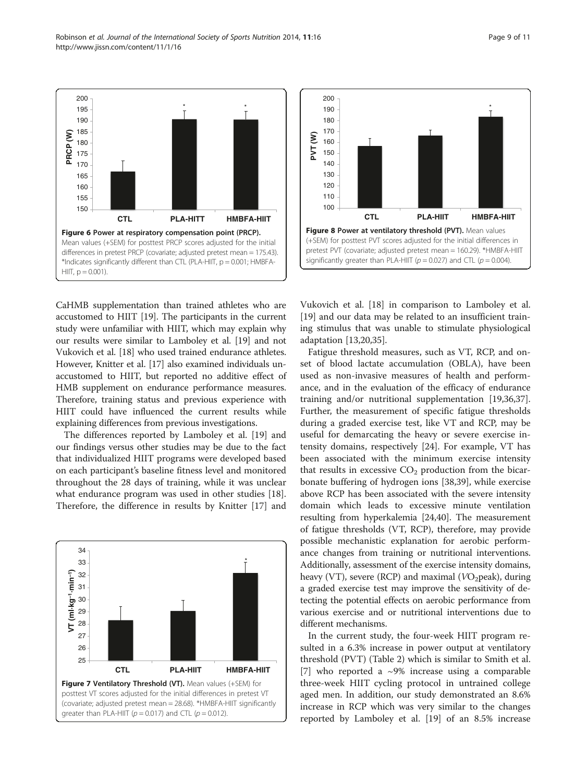CaHMB supplementation than trained athletes who are accustomed to HIIT [[19\]](#page-10-0). The participants in the current study were unfamiliar with HIIT, which may explain why our results were similar to Lamboley et al. [[19](#page-10-0)] and not Vukovich et al. [[18](#page-10-0)] who used trained endurance athletes. However, Knitter et al. [\[17\]](#page-10-0) also examined individuals unaccustomed to HIIT, but reported no additive effect of HMB supplement on endurance performance measures. Therefore, training status and previous experience with HIIT could have influenced the current results while explaining differences from previous investigations.

 $HIII, p = 0.001$ ).

<span id="page-8-0"></span>**PRCP (W)**

The differences reported by Lamboley et al. [\[19](#page-10-0)] and our findings versus other studies may be due to the fact that individualized HIIT programs were developed based on each participant's baseline fitness level and monitored throughout the 28 days of training, while it was unclear what endurance program was used in other studies [\[18](#page-10-0)]. Therefore, the difference in results by Knitter [\[17](#page-10-0)] and





Vukovich et al. [\[18](#page-10-0)] in comparison to Lamboley et al. [[19\]](#page-10-0) and our data may be related to an insufficient training stimulus that was unable to stimulate physiological adaptation [[13,20,35\]](#page-10-0).

Fatigue threshold measures, such as VT, RCP, and onset of blood lactate accumulation (OBLA), have been used as non-invasive measures of health and performance, and in the evaluation of the efficacy of endurance training and/or nutritional supplementation [[19,36,37](#page-10-0)]. Further, the measurement of specific fatigue thresholds during a graded exercise test, like VT and RCP, may be useful for demarcating the heavy or severe exercise intensity domains, respectively [\[24\]](#page-10-0). For example, VT has been associated with the minimum exercise intensity that results in excessive  $CO<sub>2</sub>$  production from the bicarbonate buffering of hydrogen ions [\[38,39\]](#page-10-0), while exercise above RCP has been associated with the severe intensity domain which leads to excessive minute ventilation resulting from hyperkalemia [\[24,40\]](#page-10-0). The measurement of fatigue thresholds (VT, RCP), therefore, may provide possible mechanistic explanation for aerobic performance changes from training or nutritional interventions. Additionally, assessment of the exercise intensity domains, heavy (VT), severe (RCP) and maximal ( $VO<sub>2</sub>peak$ ), during a graded exercise test may improve the sensitivity of detecting the potential effects on aerobic performance from various exercise and or nutritional interventions due to different mechanisms.

In the current study, the four-week HIIT program resulted in a 6.3% increase in power output at ventilatory threshold (PVT) (Table [2\)](#page-5-0) which is similar to Smith et al. [[7\]](#page-9-0) who reported a  $\sim$ 9% increase using a comparable three-week HIIT cycling protocol in untrained college aged men. In addition, our study demonstrated an 8.6% increase in RCP which was very similar to the changes reported by Lamboley et al. [[19\]](#page-10-0) of an 8.5% increase

**CTL PLA-HITT HMBFA-HIIT**

Figure 6 Power at respiratory compensation point (PRCP). Mean values (+SEM) for posttest PRCP scores adjusted for the initial differences in pretest PRCP (covariate; adjusted pretest mean = 175.43). \*Indicates significantly different than CTL (PLA-HIIT,  $p = 0.001$ ; HMBFA-

\* \*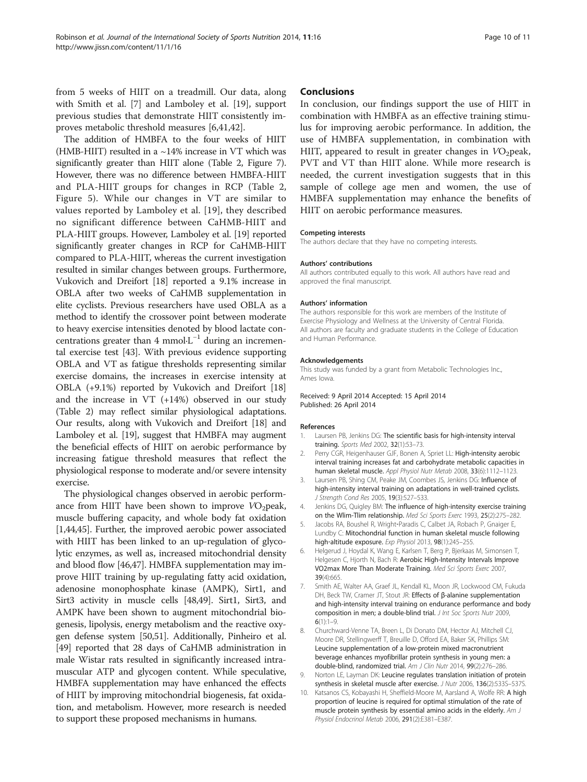<span id="page-9-0"></span>from 5 weeks of HIIT on a treadmill. Our data, along with Smith et al. [7] and Lamboley et al. [[19\]](#page-10-0), support previous studies that demonstrate HIIT consistently improves metabolic threshold measures [6,[41,42\]](#page-10-0).

The addition of HMBFA to the four weeks of HIIT (HMB-HIIT) resulted in a  $\sim$ 14% increase in VT which was significantly greater than HIIT alone (Table [2,](#page-5-0) Figure [7](#page-8-0)). However, there was no difference between HMBFA-HIIT and PLA-HIIT groups for changes in RCP (Table [2](#page-5-0), Figure [5](#page-7-0)). While our changes in VT are similar to values reported by Lamboley et al. [\[19](#page-10-0)], they described no significant difference between CaHMB-HIIT and PLA-HIIT groups. However, Lamboley et al. [[19](#page-10-0)] reported significantly greater changes in RCP for CaHMB-HIIT compared to PLA-HIIT, whereas the current investigation resulted in similar changes between groups. Furthermore, Vukovich and Dreifort [\[18\]](#page-10-0) reported a 9.1% increase in OBLA after two weeks of CaHMB supplementation in elite cyclists. Previous researchers have used OBLA as a method to identify the crossover point between moderate to heavy exercise intensities denoted by blood lactate concentrations greater than 4 mmol⋅L<sup> $-1$ </sup> during an incremental exercise test [\[43\]](#page-10-0). With previous evidence supporting OBLA and VT as fatigue thresholds representing similar exercise domains, the increases in exercise intensity at OBLA (+9.1%) reported by Vukovich and Dreifort [[18](#page-10-0)] and the increase in VT (+14%) observed in our study (Table [2\)](#page-5-0) may reflect similar physiological adaptations. Our results, along with Vukovich and Dreifort [[18](#page-10-0)] and Lamboley et al. [\[19](#page-10-0)], suggest that HMBFA may augment the beneficial effects of HIIT on aerobic performance by increasing fatigue threshold measures that reflect the physiological response to moderate and/or severe intensity exercise.

The physiological changes observed in aerobic performance from HIIT have been shown to improve  $VO<sub>2</sub>peak$ , muscle buffering capacity, and whole body fat oxidation [1,[44,45\]](#page-10-0). Further, the improved aerobic power associated with HIIT has been linked to an up-regulation of glycolytic enzymes, as well as, increased mitochondrial density and blood flow [\[46,47](#page-10-0)]. HMBFA supplementation may improve HIIT training by up-regulating fatty acid oxidation, adenosine monophosphate kinase (AMPK), Sirt1, and Sirt3 activity in muscle cells [[48,49](#page-10-0)]. Sirt1, Sirt3, and AMPK have been shown to augment mitochondrial biogenesis, lipolysis, energy metabolism and the reactive oxygen defense system [[50,51](#page-10-0)]. Additionally, Pinheiro et al. [[49](#page-10-0)] reported that 28 days of CaHMB administration in male Wistar rats resulted in significantly increased intramuscular ATP and glycogen content. While speculative, HMBFA supplementation may have enhanced the effects of HIIT by improving mitochondrial biogenesis, fat oxidation, and metabolism. However, more research is needed to support these proposed mechanisms in humans.

#### Conclusions

In conclusion, our findings support the use of HIIT in combination with HMBFA as an effective training stimulus for improving aerobic performance. In addition, the use of HMBFA supplementation, in combination with HIIT, appeared to result in greater changes in  $VO<sub>2</sub>peak$ , PVT and VT than HIIT alone. While more research is needed, the current investigation suggests that in this sample of college age men and women, the use of HMBFA supplementation may enhance the benefits of HIIT on aerobic performance measures.

#### Competing interests

The authors declare that they have no competing interests.

#### Authors' contributions

All authors contributed equally to this work. All authors have read and approved the final manuscript.

#### Authors' information

The authors responsible for this work are members of the Institute of Exercise Physiology and Wellness at the University of Central Florida. All authors are faculty and graduate students in the College of Education and Human Performance.

#### Acknowledgements

This study was funded by a grant from Metabolic Technologies Inc., Ames Iowa.

Received: 9 April 2014 Accepted: 15 April 2014 Published: 26 April 2014

#### References

- 1. Laursen PB, Jenkins DG: The scientific basis for high-intensity interval training. Sports Med 2002, 32(1):53–73.
- 2. Perry CGR, Heigenhauser GJF, Bonen A, Spriet LL: High-intensity aerobic interval training increases fat and carbohydrate metabolic capacities in human skeletal muscle. Appl Physiol Nutr Metab 2008, 33(6):1112–1123.
- 3. Laursen PB, Shing CM, Peake JM, Coombes JS, Jenkins DG: Influence of high-intensity interval training on adaptations in well-trained cyclists. J Strength Cond Res 2005, 19(3):527–533.
- 4. Jenkins DG, Quigley BM: The influence of high-intensity exercise training on the Wlim-Tlim relationship. Med Sci Sports Exerc 1993, 25(2):275–282.
- 5. Jacobs RA, Boushel R, Wright‐Paradis C, Calbet JA, Robach P, Gnaiger E, Lundby C: Mitochondrial function in human skeletal muscle following high-altitude exposure. Exp Physiol 2013, 98(1):245-255.
- 6. Helgerud J, Hoydal K, Wang E, Karlsen T, Berg P, Bjerkaas M, Simonsen T, Helgesen C, Hjorth N, Bach R: Aerobic High-Intensity Intervals Improve VO2max More Than Moderate Training. Med Sci Sports Exerc 2007, 39(4):665.
- 7. Smith AE, Walter AA, Graef JL, Kendall KL, Moon JR, Lockwood CM, Fukuda DH, Beck TW, Cramer JT, Stout JR: Effects of β-alanine supplementation and high-intensity interval training on endurance performance and body composition in men; a double-blind trial. J Int Soc Sports Nutr 2009,  $6(1):1-9$
- 8. Churchward-Venne TA, Breen L, Di Donato DM, Hector AJ, Mitchell CJ, Moore DR, Stellingwerff T, Breuille D, Offord EA, Baker SK, Phillips SM: Leucine supplementation of a low-protein mixed macronutrient beverage enhances myofibrillar protein synthesis in young men: a double-blind, randomized trial. Am J Clin Nutr 2014, 99(2):276-286.
- 9. Norton LE, Layman DK: Leucine regulates translation initiation of protein synthesis in skeletal muscle after exercise. J Nutr 2006, 136(2):533S–537S.
- 10. Katsanos CS, Kobayashi H, Sheffield-Moore M, Aarsland A, Wolfe RR: A high proportion of leucine is required for optimal stimulation of the rate of muscle protein synthesis by essential amino acids in the elderly. Am J Physiol Endocrinol Metab 2006, 291(2):E381–E387.